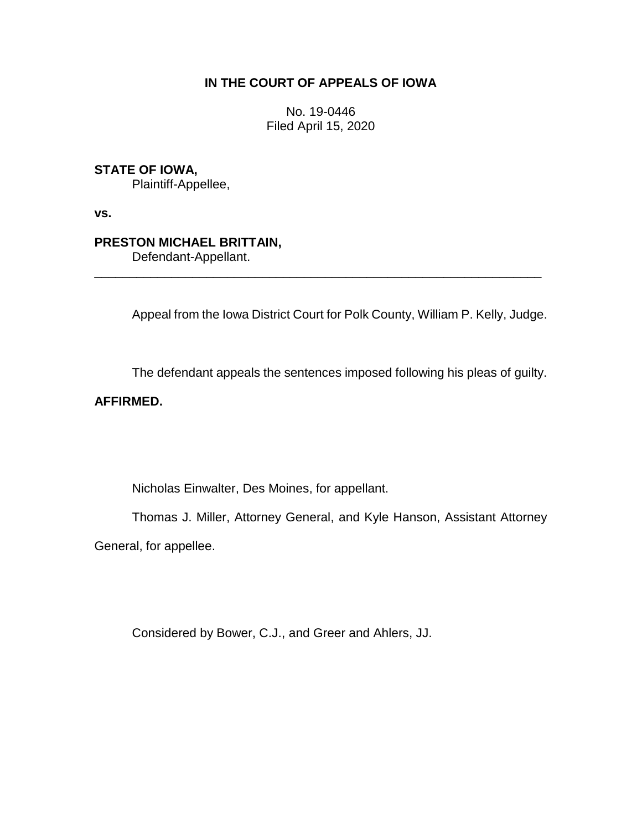## **IN THE COURT OF APPEALS OF IOWA**

No. 19-0446 Filed April 15, 2020

# **STATE OF IOWA,**

Plaintiff-Appellee,

**vs.**

### **PRESTON MICHAEL BRITTAIN,**

Defendant-Appellant.

Appeal from the Iowa District Court for Polk County, William P. Kelly, Judge.

\_\_\_\_\_\_\_\_\_\_\_\_\_\_\_\_\_\_\_\_\_\_\_\_\_\_\_\_\_\_\_\_\_\_\_\_\_\_\_\_\_\_\_\_\_\_\_\_\_\_\_\_\_\_\_\_\_\_\_\_\_\_\_\_

The defendant appeals the sentences imposed following his pleas of guilty.

## **AFFIRMED.**

Nicholas Einwalter, Des Moines, for appellant.

Thomas J. Miller, Attorney General, and Kyle Hanson, Assistant Attorney

General, for appellee.

Considered by Bower, C.J., and Greer and Ahlers, JJ.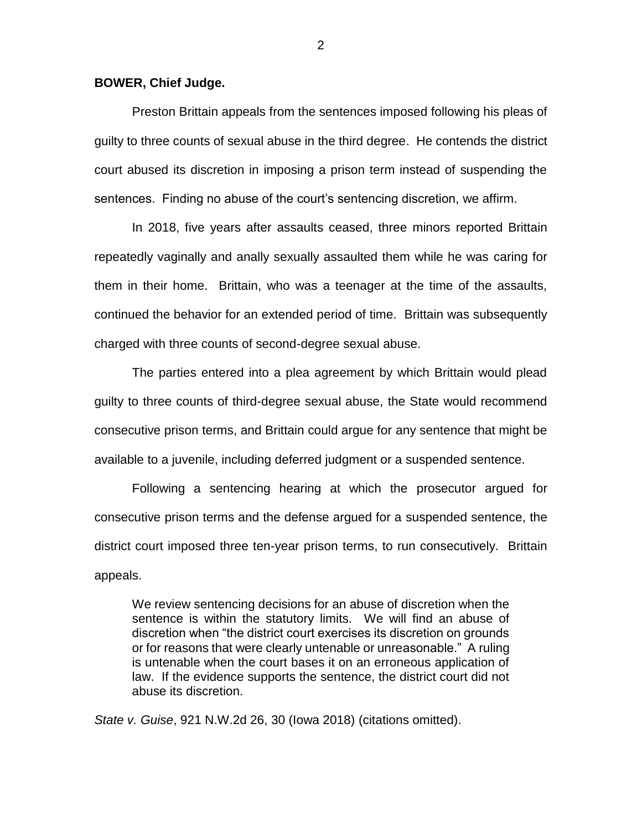#### **BOWER, Chief Judge.**

Preston Brittain appeals from the sentences imposed following his pleas of guilty to three counts of sexual abuse in the third degree. He contends the district court abused its discretion in imposing a prison term instead of suspending the sentences. Finding no abuse of the court's sentencing discretion, we affirm.

In 2018, five years after assaults ceased, three minors reported Brittain repeatedly vaginally and anally sexually assaulted them while he was caring for them in their home. Brittain, who was a teenager at the time of the assaults, continued the behavior for an extended period of time. Brittain was subsequently charged with three counts of second-degree sexual abuse.

The parties entered into a plea agreement by which Brittain would plead guilty to three counts of third-degree sexual abuse, the State would recommend consecutive prison terms, and Brittain could argue for any sentence that might be available to a juvenile, including deferred judgment or a suspended sentence.

Following a sentencing hearing at which the prosecutor argued for consecutive prison terms and the defense argued for a suspended sentence, the district court imposed three ten-year prison terms, to run consecutively. Brittain appeals.

We review sentencing decisions for an abuse of discretion when the sentence is within the statutory limits. We will find an abuse of discretion when "the district court exercises its discretion on grounds or for reasons that were clearly untenable or unreasonable." A ruling is untenable when the court bases it on an erroneous application of law. If the evidence supports the sentence, the district court did not abuse its discretion.

*State v. Guise*, 921 N.W.2d 26, 30 (Iowa 2018) (citations omitted).